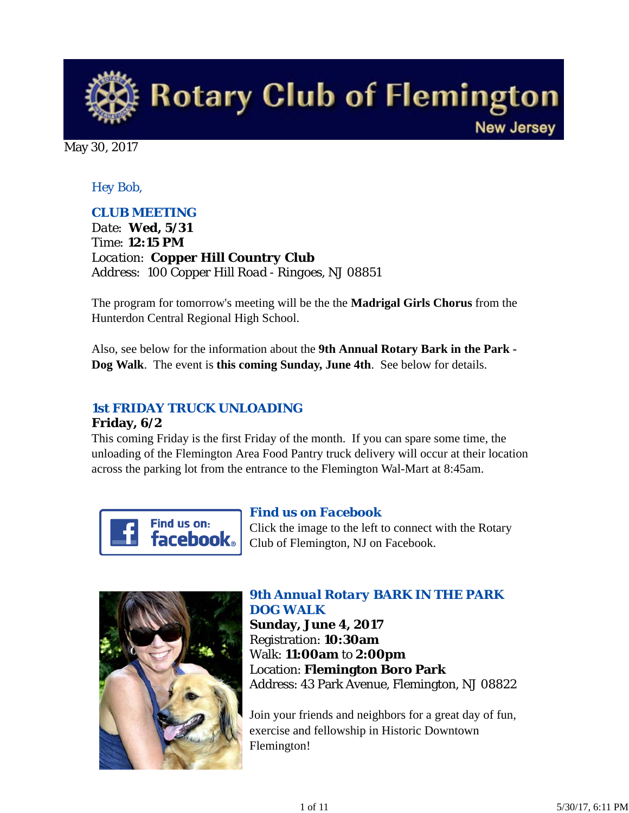

May 30, 2017

### *Hey Bob,*

### *CLUB MEETING*

*Date: Wed, 5/31 Time: 12:15 PM Location: Copper Hill Country Club Address: 100 Copper Hill Road - Ringoes, NJ 08851*

The program for tomorrow's meeting will be the the **Madrigal Girls Chorus** from the Hunterdon Central Regional High School.

Also, see below for the information about the **9th Annual Rotary Bark in the Park - Dog Walk**. The event is **this coming Sunday, June 4th**. See below for details.

## *1st FRIDAY TRUCK UNLOADING*

#### **Friday, 6/2**

This coming Friday is the first Friday of the month. If you can spare some time, the unloading of the Flemington Area Food Pantry truck delivery will occur at their location across the parking lot from the entrance to the Flemington Wal-Mart at 8:45am.



### *Find us on Facebook*

Click the image to the left to connect with the Rotary Club of Flemington, NJ on Facebook.



### *9th Annual Rotary BARK IN THE PARK DOG WALK*

**Sunday, June 4, 2017** Registration: **10:30am** Walk: **11:00am** to **2:00pm** Location: **Flemington Boro Park** Address: 43 Park Avenue, Flemington, NJ 08822

Join your friends and neighbors for a great day of fun, exercise and fellowship in Historic Downtown Flemington!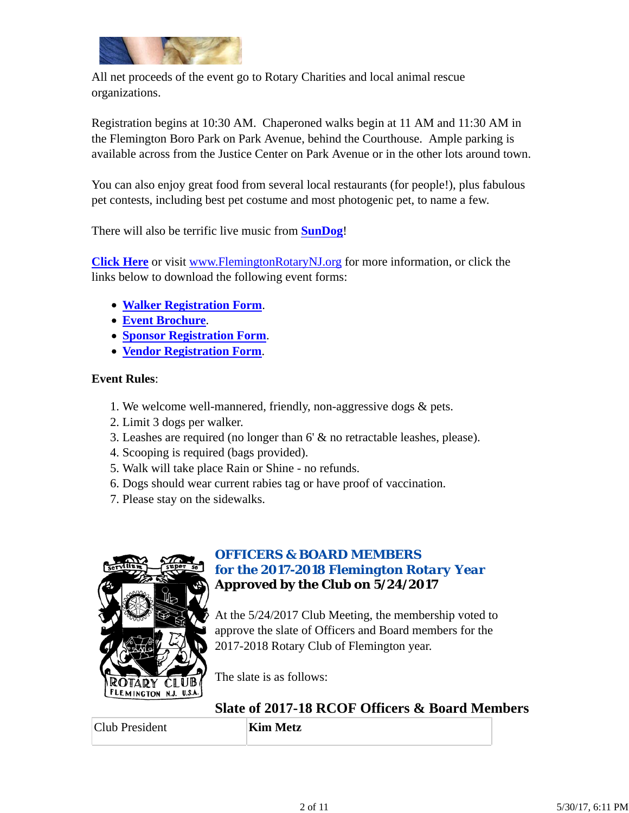

All net proceeds of the event go to Rotary Charities and local animal rescue organizations.

Registration begins at 10:30 AM. Chaperoned walks begin at 11 AM and 11:30 AM in the Flemington Boro Park on Park Avenue, behind the Courthouse. Ample parking is available across from the Justice Center on Park Avenue or in the other lots around town.

You can also enjoy great food from several local restaurants (for people!), plus fabulous pet contests, including best pet costume and most photogenic pet, to name a few.

There will also be terrific live music from **SunDog**!

**Click Here** or visit www.FlemingtonRotaryNJ.org for more information, or click the links below to download the following event forms:

- **Walker Registration Form**.
- **Event Brochure**.
- **Sponsor Registration Form**.
- **Vendor Registration Form**.

#### **Event Rules**:

- 1. We welcome well-mannered, friendly, non-aggressive dogs & pets.
- 2. Limit 3 dogs per walker.
- 3. Leashes are required (no longer than 6' & no retractable leashes, please).
- 4. Scooping is required (bags provided).
- 5. Walk will take place Rain or Shine no refunds.
- 6. Dogs should wear current rabies tag or have proof of vaccination.
- 7. Please stay on the sidewalks.



### *OFFICERS & BOARD MEMBERS for the 2017-2018 Flemington Rotary Year* **Approved by the Club on 5/24/2017**

At the 5/24/2017 Club Meeting, the membership voted to approve the slate of Officers and Board members for the 2017-2018 Rotary Club of Flemington year.

The slate is as follows:

# **Slate of 2017-18 RCOF Officers & Board Members**

Club President **Kim Metz**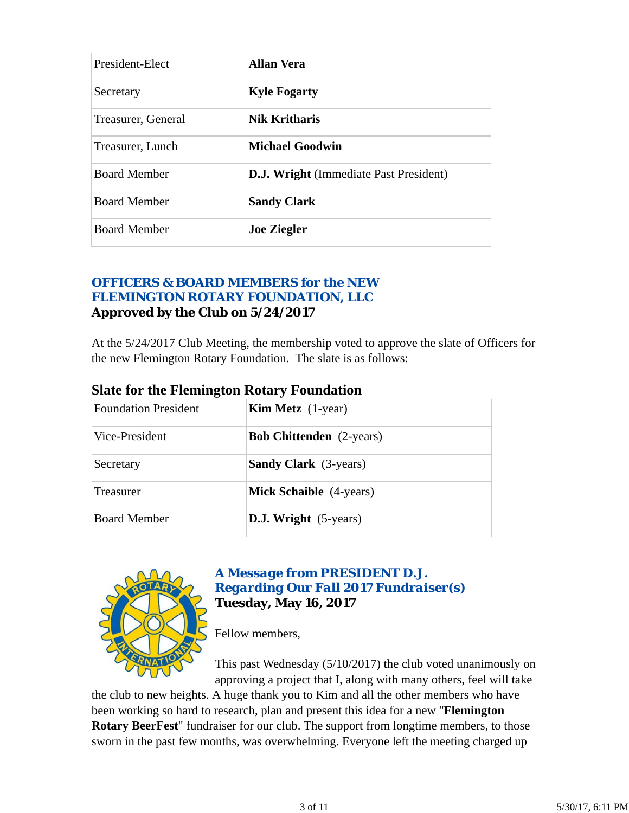| President-Elect     | Allan Vera                                    |
|---------------------|-----------------------------------------------|
| Secretary           | <b>Kyle Fogarty</b>                           |
| Treasurer, General  | <b>Nik Kritharis</b>                          |
| Treasurer, Lunch    | <b>Michael Goodwin</b>                        |
| <b>Board Member</b> | <b>D.J. Wright</b> (Immediate Past President) |
| <b>Board Member</b> | <b>Sandy Clark</b>                            |
| <b>Board Member</b> | <b>Joe Ziegler</b>                            |

### *OFFICERS & BOARD MEMBERS for the NEW FLEMINGTON ROTARY FOUNDATION, LLC* **Approved by the Club on 5/24/2017**

At the 5/24/2017 Club Meeting, the membership voted to approve the slate of Officers for the new Flemington Rotary Foundation. The slate is as follows:

| <b>Foundation President</b> | <b>Kim Metz</b> $(1$ -year)     |  |
|-----------------------------|---------------------------------|--|
| Vice-President              | <b>Bob Chittenden</b> (2-years) |  |
| Secretary                   | <b>Sandy Clark</b> (3-years)    |  |
| Treasurer                   | <b>Mick Schaible</b> (4-years)  |  |
| <b>Board Member</b>         | <b>D.J. Wright</b> (5-years)    |  |
|                             |                                 |  |

### **Slate for the Flemington Rotary Foundation**



### *A Message from PRESIDENT D.J. Regarding Our Fall 2017 Fundraiser(s)* **Tuesday, May 16, 2017**

Fellow members,

This past Wednesday (5/10/2017) the club voted unanimously on approving a project that I, along with many others, feel will take

the club to new heights. A huge thank you to Kim and all the other members who have been working so hard to research, plan and present this idea for a new "**Flemington Rotary BeerFest**" fundraiser for our club. The support from longtime members, to those sworn in the past few months, was overwhelming. Everyone left the meeting charged up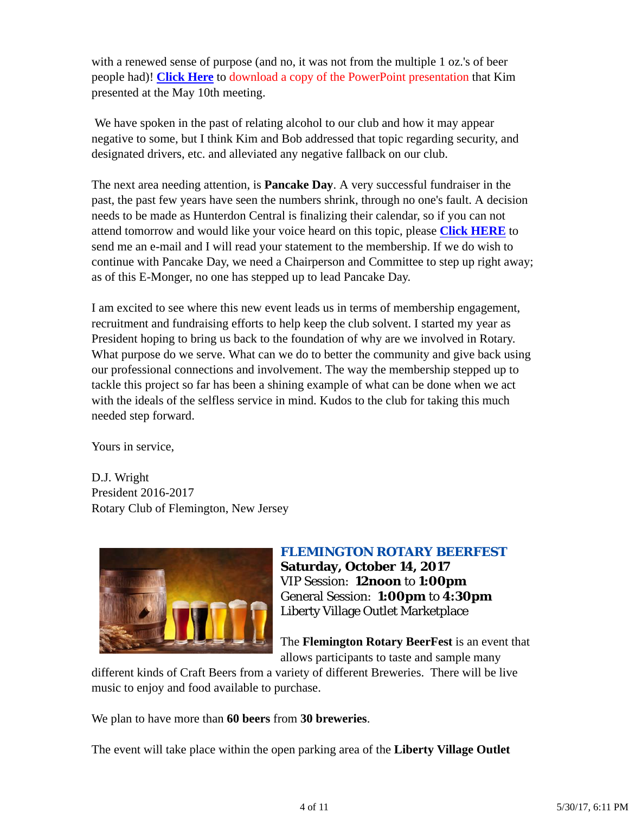with a renewed sense of purpose (and no, it was not from the multiple 1 oz.'s of beer people had)! **Click Here** to download a copy of the PowerPoint presentation that Kim presented at the May 10th meeting.

 We have spoken in the past of relating alcohol to our club and how it may appear negative to some, but I think Kim and Bob addressed that topic regarding security, and designated drivers, etc. and alleviated any negative fallback on our club.

The next area needing attention, is **Pancake Day**. A very successful fundraiser in the past, the past few years have seen the numbers shrink, through no one's fault. A decision needs to be made as Hunterdon Central is finalizing their calendar, so if you can not attend tomorrow and would like your voice heard on this topic, please **Click HERE** to send me an e-mail and I will read your statement to the membership. If we do wish to continue with Pancake Day, we need a Chairperson and Committee to step up right away; as of this E-Monger, no one has stepped up to lead Pancake Day.

I am excited to see where this new event leads us in terms of membership engagement, recruitment and fundraising efforts to help keep the club solvent. I started my year as President hoping to bring us back to the foundation of why are we involved in Rotary. What purpose do we serve. What can we do to better the community and give back using our professional connections and involvement. The way the membership stepped up to tackle this project so far has been a shining example of what can be done when we act with the ideals of the selfless service in mind. Kudos to the club for taking this much needed step forward.

Yours in service,

D.J. Wright President 2016-2017 Rotary Club of Flemington, New Jersey



### *FLEMINGTON ROTARY BEERFEST* **Saturday, October 14, 2017**

VIP Session: **12noon** to **1:00pm** General Session: **1:00pm** to **4:30pm** Liberty Village Outlet Marketplace

The **Flemington Rotary BeerFest** is an event that allows participants to taste and sample many

different kinds of Craft Beers from a variety of different Breweries. There will be live music to enjoy and food available to purchase.

We plan to have more than **60 beers** from **30 breweries**.

The event will take place within the open parking area of the **Liberty Village Outlet**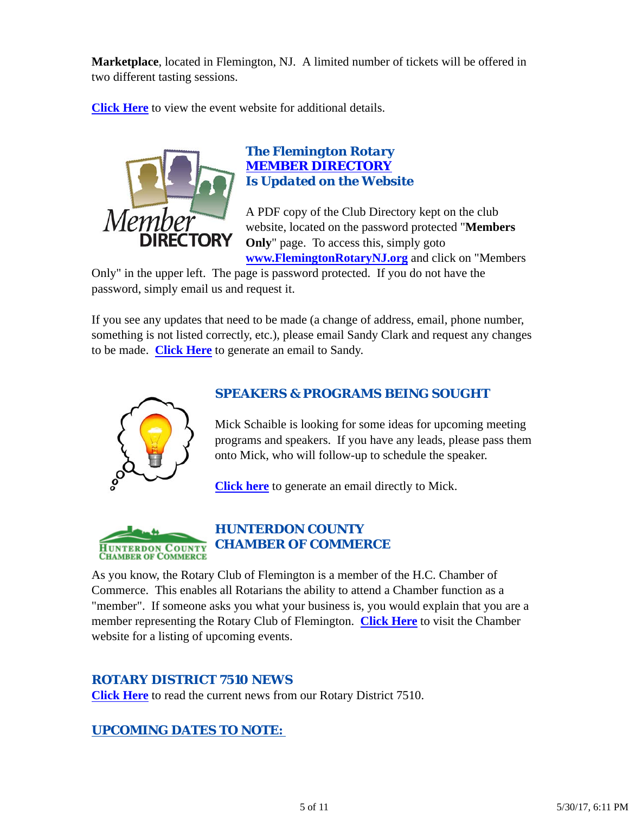**Marketplace**, located in Flemington, NJ. A limited number of tickets will be offered in two different tasting sessions.

**Click Here** to view the event website for additional details.



### *The Flemington Rotary MEMBER DIRECTORY Is Updated on the Website*

A PDF copy of the Club Directory kept on the club website, located on the password protected "**Members Only**" page. To access this, simply goto **www.FlemingtonRotaryNJ.org** and click on "Members

Only" in the upper left. The page is password protected. If you do not have the password, simply email us and request it.

If you see any updates that need to be made (a change of address, email, phone number, something is not listed correctly, etc.), please email Sandy Clark and request any changes to be made. **Click Here** to generate an email to Sandy.



## *SPEAKERS & PROGRAMS BEING SOUGHT*

Mick Schaible is looking for some ideas for upcoming meeting programs and speakers. If you have any leads, please pass them onto Mick, who will follow-up to schedule the speaker.

**Click here** to generate an email directly to Mick.



## *HUNTERDON COUNTY CHAMBER OF COMMERCE*

As you know, the Rotary Club of Flemington is a member of the H.C. Chamber of Commerce. This enables all Rotarians the ability to attend a Chamber function as a "member". If someone asks you what your business is, you would explain that you are a member representing the Rotary Club of Flemington. **Click Here** to visit the Chamber website for a listing of upcoming events.

### *ROTARY DISTRICT 7510 NEWS*

**Click Here** to read the current news from our Rotary District 7510.

### *UPCOMING DATES TO NOTE:*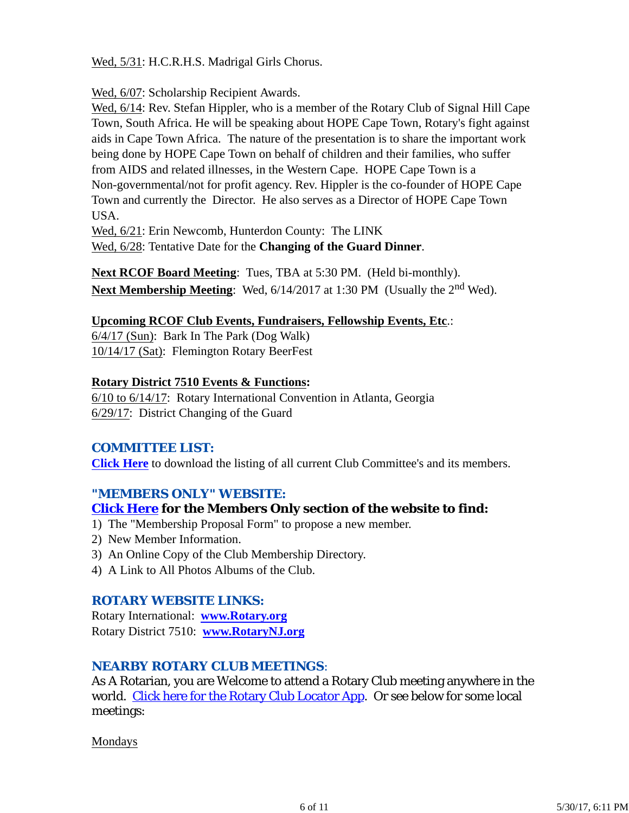Wed, 5/31: H.C.R.H.S. Madrigal Girls Chorus.

Wed, 6/07: Scholarship Recipient Awards.

Wed,  $6/14$ : Rev. Stefan Hippler, who is a member of the Rotary Club of Signal Hill Cape Town, South Africa. He will be speaking about HOPE Cape Town, Rotary's fight against aids in Cape Town Africa. The nature of the presentation is to share the important work being done by HOPE Cape Town on behalf of children and their families, who suffer from AIDS and related illnesses, in the Western Cape. HOPE Cape Town is a Non-governmental/not for profit agency. Rev. Hippler is the co-founder of HOPE Cape Town and currently the Director. He also serves as a Director of HOPE Cape Town USA.

Wed, 6/21: Erin Newcomb, Hunterdon County: The LINK Wed, 6/28: Tentative Date for the **Changing of the Guard Dinner**.

**Next RCOF Board Meeting**: Tues, TBA at 5:30 PM. (Held bi-monthly). **Next Membership Meeting**: Wed,  $6/14/2017$  at 1:30 PM (Usually the 2<sup>nd</sup> Wed).

#### **Upcoming RCOF Club Events, Fundraisers, Fellowship Events, Etc**.:

6/4/17 (Sun): Bark In The Park (Dog Walk) 10/14/17 (Sat): Flemington Rotary BeerFest

#### **Rotary District 7510 Events & Functions:**

6/10 to 6/14/17: Rotary International Convention in Atlanta, Georgia 6/29/17: District Changing of the Guard

### *COMMITTEE LIST:*

**Click Here** to download the listing of all current Club Committee's and its members.

#### *"MEMBERS ONLY" WEBSITE:*

#### **Click Here for the Members Only section of the website to find:**

- 1) The "Membership Proposal Form" to propose a new member.
- 2) New Member Information.
- 3) An Online Copy of the Club Membership Directory.
- 4) A Link to All Photos Albums of the Club.

### *ROTARY WEBSITE LINKS:*

Rotary International: **www.Rotary.org** Rotary District 7510: **www.RotaryNJ.org**

### *NEARBY ROTARY CLUB MEETINGS:*

As A Rotarian, you are Welcome to attend a Rotary Club meeting anywhere in the world. Click here for the Rotary Club Locator App. Or see below for some local meetings:

Mondays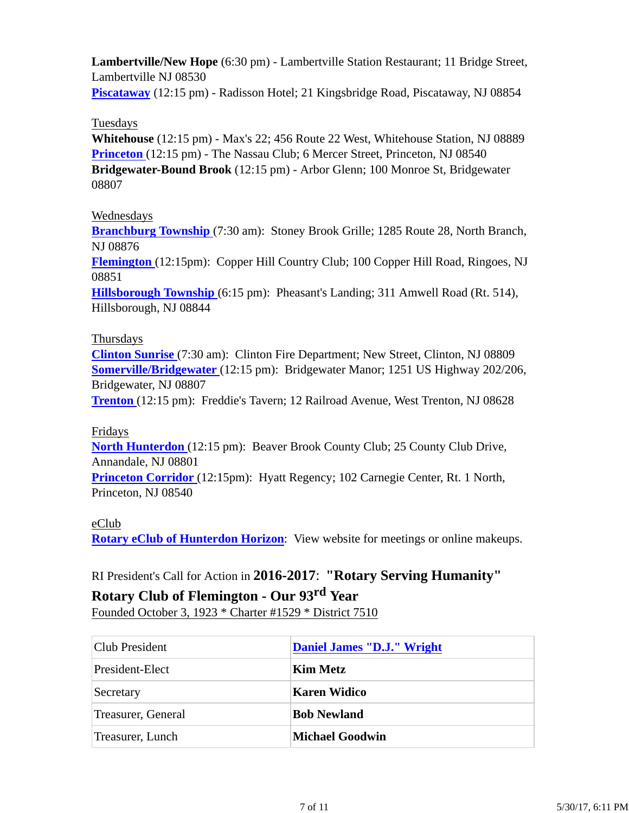**Lambertville/New Hope** (6:30 pm) - Lambertville Station Restaurant; 11 Bridge Street, Lambertville NJ 08530

**Piscataway** (12:15 pm) - Radisson Hotel; 21 Kingsbridge Road, Piscataway, NJ 08854

#### Tuesdays

**Whitehouse** (12:15 pm) - Max's 22; 456 Route 22 West, Whitehouse Station, NJ 08889 **Princeton** (12:15 pm) - The Nassau Club; 6 Mercer Street, Princeton, NJ 08540 **Bridgewater-Bound Brook** (12:15 pm) - Arbor Glenn; 100 Monroe St, Bridgewater 08807

### Wednesdays

**Branchburg Township** (7:30 am): Stoney Brook Grille; 1285 Route 28, North Branch, NJ 08876

**Flemington** (12:15pm): Copper Hill Country Club; 100 Copper Hill Road, Ringoes, NJ 08851

**Hillsborough Township** (6:15 pm): Pheasant's Landing; 311 Amwell Road (Rt. 514), Hillsborough, NJ 08844

### Thursdays

**Clinton Sunrise** (7:30 am): Clinton Fire Department; New Street, Clinton, NJ 08809 **Somerville/Bridgewater** (12:15 pm): Bridgewater Manor; 1251 US Highway 202/206, Bridgewater, NJ 08807

**Trenton** (12:15 pm): Freddie's Tavern; 12 Railroad Avenue, West Trenton, NJ 08628

#### Fridays

**North Hunterdon** (12:15 pm): Beaver Brook County Club; 25 County Club Drive, Annandale, NJ 08801

**Princeton Corridor** (12:15pm): Hyatt Regency; 102 Carnegie Center, Rt. 1 North, Princeton, NJ 08540

### eClub

**Rotary eClub of Hunterdon Horizon**: View website for meetings or online makeups.

## RI President's Call for Action in **2016-2017**: **"Rotary Serving Humanity"**

## **Rotary Club of Flemington - Our 93rd Year**

Founded October 3, 1923 \* Charter #1529 \* District 7510

| <b>Club President</b> | Daniel James "D.J." Wright |  |
|-----------------------|----------------------------|--|
| President-Elect       | Kim Metz                   |  |
| Secretary             | Karen Widico               |  |
| Treasurer, General    | <b>Bob Newland</b>         |  |
| Treasurer, Lunch      | <b>Michael Goodwin</b>     |  |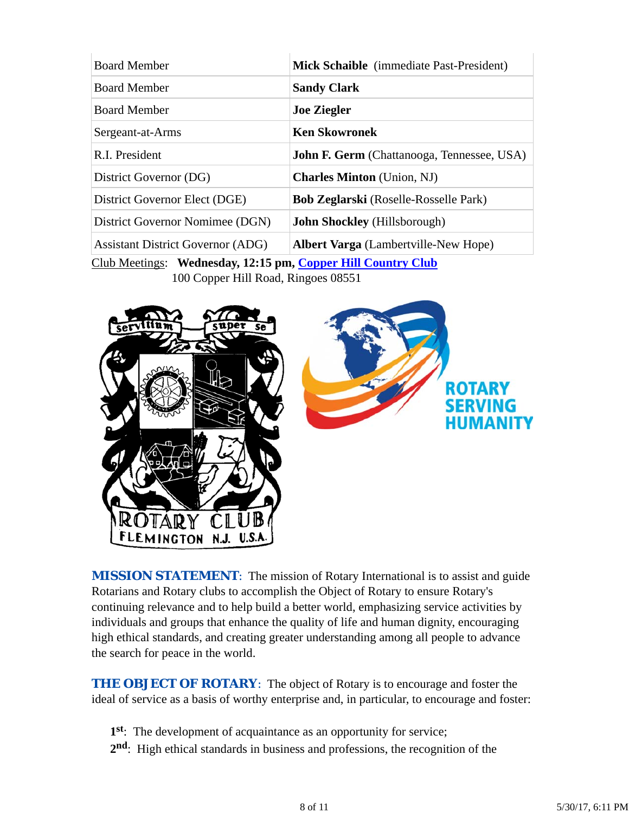| <b>Board Member</b>                      | Mick Schaible (immediate Past-President)          |
|------------------------------------------|---------------------------------------------------|
| <b>Board Member</b>                      | <b>Sandy Clark</b>                                |
| <b>Board Member</b>                      | <b>Joe Ziegler</b>                                |
| Sergeant-at-Arms                         | <b>Ken Skowronek</b>                              |
| R.I. President                           | <b>John F. Germ</b> (Chattanooga, Tennessee, USA) |
| District Governor (DG)                   | <b>Charles Minton</b> (Union, NJ)                 |
| District Governor Elect (DGE)            | <b>Bob Zeglarski</b> (Roselle-Rosselle Park)      |
| District Governor Nomimee (DGN)          | <b>John Shockley</b> (Hillsborough)               |
| <b>Assistant District Governor (ADG)</b> | <b>Albert Varga</b> (Lambertville-New Hope)       |

Club Meetings: **Wednesday, 12:15 pm, Copper Hill Country Club** 100 Copper Hill Road, Ringoes 08551



**MISSION STATEMENT:** The mission of Rotary International is to assist and guide Rotarians and Rotary clubs to accomplish the Object of Rotary to ensure Rotary's continuing relevance and to help build a better world, emphasizing service activities by individuals and groups that enhance the quality of life and human dignity, encouraging high ethical standards, and creating greater understanding among all people to advance the search for peace in the world.

**THE OBJECT OF ROTARY:** The object of Rotary is to encourage and foster the ideal of service as a basis of worthy enterprise and, in particular, to encourage and foster:

- **1st**: The development of acquaintance as an opportunity for service;
- **2nd**: High ethical standards in business and professions, the recognition of the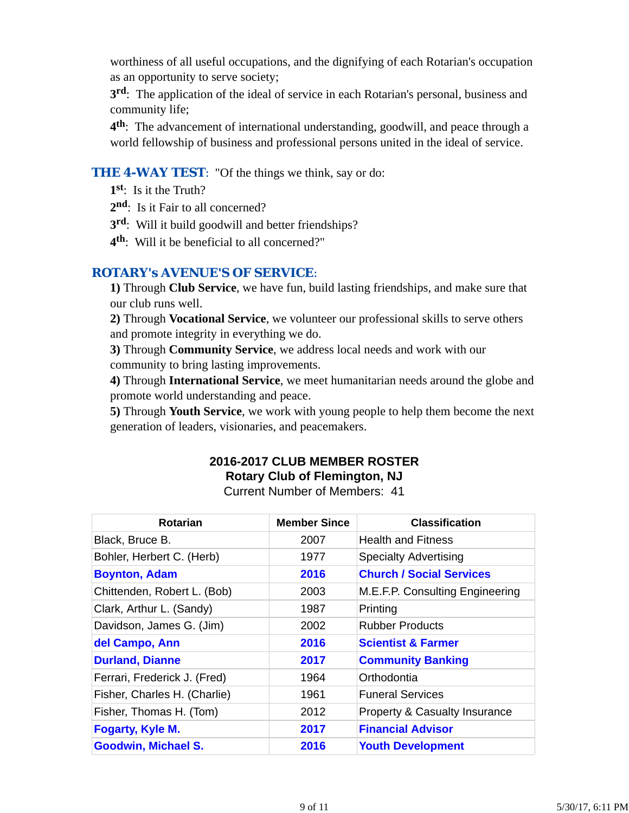worthiness of all useful occupations, and the dignifying of each Rotarian's occupation as an opportunity to serve society;

**3rd**: The application of the ideal of service in each Rotarian's personal, business and community life;

**4th**: The advancement of international understanding, goodwill, and peace through a world fellowship of business and professional persons united in the ideal of service.

### **THE 4-WAY TEST:** "Of the things we think, say or do:

**1st**: Is it the Truth?

2<sup>nd</sup>: Is it Fair to all concerned?

- **3rd**: Will it build goodwill and better friendships?
- **4th**: Will it be beneficial to all concerned?"

### *ROTARY's AVENUE'S OF SERVICE*:

**1)** Through **Club Service**, we have fun, build lasting friendships, and make sure that our club runs well.

**2)** Through **Vocational Service**, we volunteer our professional skills to serve others and promote integrity in everything we do.

**3)** Through **Community Service**, we address local needs and work with our community to bring lasting improvements.

**4)** Through **International Service**, we meet humanitarian needs around the globe and promote world understanding and peace.

**5)** Through **Youth Service**, we work with young people to help them become the next generation of leaders, visionaries, and peacemakers.

# **2016-2017 CLUB MEMBER ROSTER Rotary Club of Flemington, NJ**

Current Number of Members: 41

| Rotarian                     | <b>Member Since</b> | <b>Classification</b>                    |
|------------------------------|---------------------|------------------------------------------|
| Black, Bruce B.              | 2007                | <b>Health and Fitness</b>                |
| Bohler, Herbert C. (Herb)    | 1977                | <b>Specialty Advertising</b>             |
| <b>Boynton, Adam</b>         | 2016                | <b>Church / Social Services</b>          |
| Chittenden, Robert L. (Bob)  | 2003                | M.E.F.P. Consulting Engineering          |
| Clark, Arthur L. (Sandy)     | 1987                | Printing                                 |
| Davidson, James G. (Jim)     | 2002                | <b>Rubber Products</b>                   |
| del Campo, Ann               | 2016                | <b>Scientist &amp; Farmer</b>            |
| <b>Durland, Dianne</b>       | 2017                | <b>Community Banking</b>                 |
| Ferrari, Frederick J. (Fred) | 1964                | Orthodontia                              |
| Fisher, Charles H. (Charlie) | 1961                | <b>Funeral Services</b>                  |
| Fisher, Thomas H. (Tom)      | 2012                | <b>Property &amp; Casualty Insurance</b> |
| <b>Fogarty, Kyle M.</b>      | 2017                | <b>Financial Advisor</b>                 |
| <b>Goodwin, Michael S.</b>   | 2016                | <b>Youth Development</b>                 |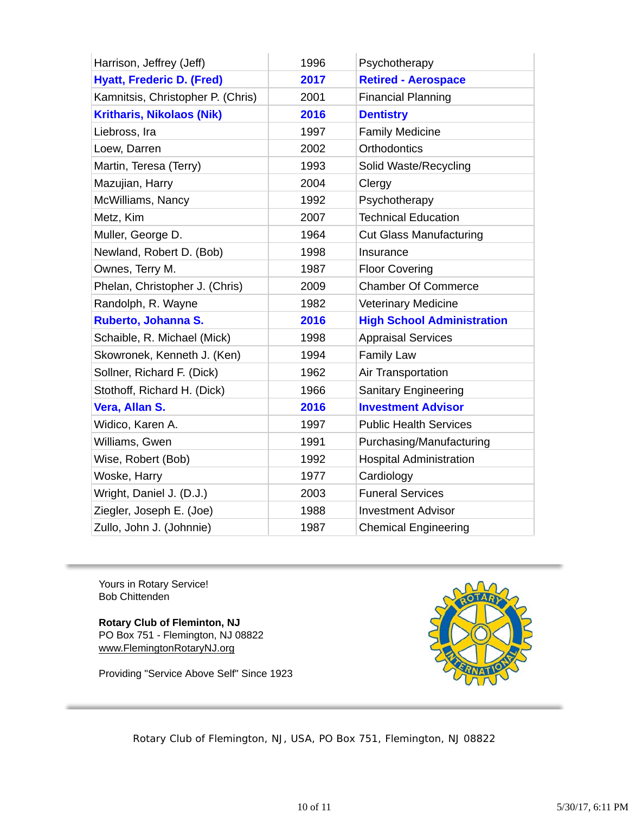| Harrison, Jeffrey (Jeff)          | 1996 | Psychotherapy                     |
|-----------------------------------|------|-----------------------------------|
| <b>Hyatt, Frederic D. (Fred)</b>  | 2017 | <b>Retired - Aerospace</b>        |
| Kamnitsis, Christopher P. (Chris) | 2001 | <b>Financial Planning</b>         |
| <b>Kritharis, Nikolaos (Nik)</b>  | 2016 | <b>Dentistry</b>                  |
| Liebross, Ira                     | 1997 | <b>Family Medicine</b>            |
| Loew, Darren                      | 2002 | Orthodontics                      |
| Martin, Teresa (Terry)            | 1993 | Solid Waste/Recycling             |
| Mazujian, Harry                   | 2004 | Clergy                            |
| McWilliams, Nancy                 | 1992 | Psychotherapy                     |
| Metz, Kim                         | 2007 | <b>Technical Education</b>        |
| Muller, George D.                 | 1964 | <b>Cut Glass Manufacturing</b>    |
| Newland, Robert D. (Bob)          | 1998 | Insurance                         |
| Ownes, Terry M.                   | 1987 | <b>Floor Covering</b>             |
| Phelan, Christopher J. (Chris)    | 2009 | <b>Chamber Of Commerce</b>        |
| Randolph, R. Wayne                | 1982 | <b>Veterinary Medicine</b>        |
| Ruberto, Johanna S.               | 2016 | <b>High School Administration</b> |
| Schaible, R. Michael (Mick)       | 1998 | <b>Appraisal Services</b>         |
| Skowronek, Kenneth J. (Ken)       | 1994 | Family Law                        |
| Sollner, Richard F. (Dick)        | 1962 | Air Transportation                |
| Stothoff, Richard H. (Dick)       | 1966 | <b>Sanitary Engineering</b>       |
| Vera, Allan S.                    | 2016 | <b>Investment Advisor</b>         |
| Widico, Karen A.                  | 1997 | <b>Public Health Services</b>     |
| Williams, Gwen                    | 1991 | Purchasing/Manufacturing          |
| Wise, Robert (Bob)                | 1992 | <b>Hospital Administration</b>    |
| Woske, Harry                      | 1977 | Cardiology                        |
| Wright, Daniel J. (D.J.)          | 2003 | <b>Funeral Services</b>           |
| Ziegler, Joseph E. (Joe)          | 1988 | <b>Investment Advisor</b>         |
| Zullo, John J. (Johnnie)          | 1987 | <b>Chemical Engineering</b>       |

Yours in Rotary Service! Bob Chittenden

**Rotary Club of Fleminton, NJ** PO Box 751 - Flemington, NJ 08822 www.FlemingtonRotaryNJ.org

Providing "Service Above Self" Since 1923



Rotary Club of Flemington, NJ, USA, PO Box 751, Flemington, NJ 08822